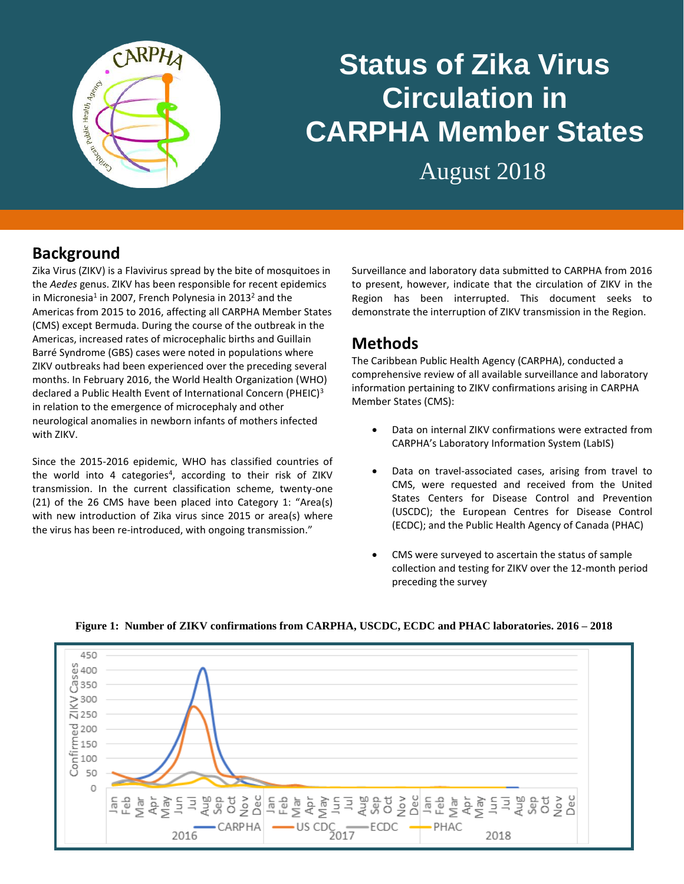

# **Status of Zika Virus Circulation in CARPHA Member States**

August 2018

# **Background**

Zika Virus (ZIKV) is a Flavivirus spread by the bite of mosquitoes in the *Aedes* genus. ZIKV has been responsible for recent epidemics in Micronesia<sup>1</sup> in 2007, French Polynesia in 2013<sup>2</sup> and the Americas from 2015 to 2016, affecting all CARPHA Member States (CMS) except Bermuda. During the course of the outbreak in the Americas, increased rates of microcephalic births and Guillain Barré Syndrome (GBS) cases were noted in populations where ZIKV outbreaks had been experienced over the preceding several months. In February 2016, the World Health Organization (WHO) declared a Public Health Event of International Concern (PHEIC)<sup>3</sup> in relation to the emergence of microcephaly and other neurological anomalies in newborn infants of mothers infected with ZIKV.

Since the 2015-2016 epidemic, WHO has classified countries of the world into 4 categories<sup>4</sup>, according to their risk of ZIKV transmission. In the current classification scheme, twenty-one (21) of the 26 CMS have been placed into Category 1: "Area(s) with new introduction of Zika virus since 2015 or area(s) where the virus has been re-introduced, with ongoing transmission."

Surveillance and laboratory data submitted to CARPHA from 2016 to present, however, indicate that the circulation of ZIKV in the Region has been interrupted. This document seeks to demonstrate the interruption of ZIKV transmission in the Region.

### **Methods**

The Caribbean Public Health Agency (CARPHA), conducted a comprehensive review of all available surveillance and laboratory information pertaining to ZIKV confirmations arising in CARPHA Member States (CMS):

- Data on internal ZIKV confirmations were extracted from CARPHA's Laboratory Information System (LabIS)
- Data on travel-associated cases, arising from travel to CMS, were requested and received from the United States Centers for Disease Control and Prevention (USCDC); the European Centres for Disease Control (ECDC); and the Public Health Agency of Canada (PHAC)
- CMS were surveyed to ascertain the status of sample collection and testing for ZIKV over the 12-month period preceding the survey



#### **Figure 1: Number of ZIKV confirmations from CARPHA, USCDC, ECDC and PHAC laboratories. 2016 – 2018**